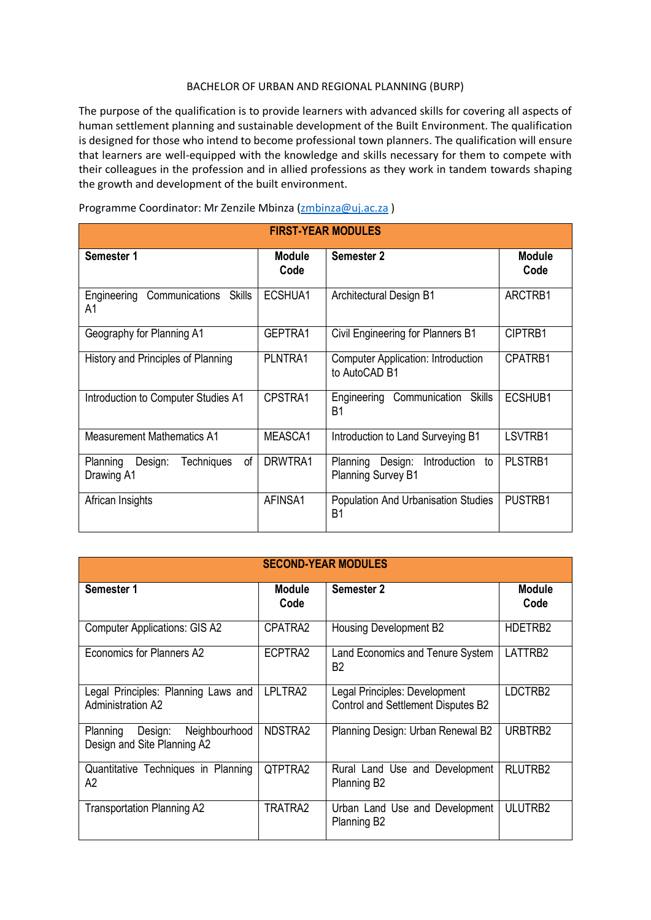## BACHELOR OF URBAN AND REGIONAL PLANNING (BURP)

The purpose of the qualification is to provide learners with advanced skills for covering all aspects of human settlement planning and sustainable development of the Built Environment. The qualification is designed for those who intend to become professional town planners. The qualification will ensure that learners are well-equipped with the knowledge and skills necessary for them to compete with their colleagues in the profession and in allied professions as they work in tandem towards shaping the growth and development of the built environment.

| <b>FIRST-YEAR MODULES</b>                                    |                       |                                                                        |                       |  |  |
|--------------------------------------------------------------|-----------------------|------------------------------------------------------------------------|-----------------------|--|--|
| Semester 1                                                   | <b>Module</b><br>Code | Semester 2                                                             | <b>Module</b><br>Code |  |  |
| Engineering<br>Communications<br><b>Skills</b><br>A1         | ECSHUA1               | Architectural Design B1                                                | ARCTRB1               |  |  |
| Geography for Planning A1                                    | GEPTRA1               | Civil Engineering for Planners B1                                      | CIPTRB1               |  |  |
| History and Principles of Planning                           | PLNTRA1               | <b>Computer Application: Introduction</b><br>to AutoCAD B1             | CPATRB1               |  |  |
| Introduction to Computer Studies A1                          | CPSTRA1               | Communication<br><b>Skills</b><br>Engineering<br>B <sub>1</sub>        | ECSHUB1               |  |  |
| <b>Measurement Mathematics A1</b>                            | MEASCA1               | Introduction to Land Surveying B1                                      | LSVTRB1               |  |  |
| of<br>Planning<br>Design:<br><b>Techniques</b><br>Drawing A1 | DRWTRA1               | Design:<br>Planning<br>Introduction<br>to<br><b>Planning Survey B1</b> | PLSTRB1               |  |  |
| African Insights                                             | AFINSA1               | Population And Urbanisation Studies<br>B <sub>1</sub>                  | PUSTRB1               |  |  |

Programme Coordinator: Mr Zenzile Mbinza [\(zmbinza@uj.ac.za](mailto:zmbinza@uj.ac.za))

| <b>SECOND-YEAR MODULES</b>                                          |                       |                                                                     |                       |  |  |
|---------------------------------------------------------------------|-----------------------|---------------------------------------------------------------------|-----------------------|--|--|
| Semester 1                                                          | <b>Module</b><br>Code | <b>Semester 2</b>                                                   | <b>Module</b><br>Code |  |  |
| <b>Computer Applications: GIS A2</b>                                | CPATRA2               | Housing Development B2                                              | HDETRB2               |  |  |
| Economics for Planners A2                                           | ECPTRA2               | Land Economics and Tenure System<br>B2                              | LATTRB2               |  |  |
| Legal Principles: Planning Laws and<br><b>Administration A2</b>     | LPLTRA2               | Legal Principles: Development<br>Control and Settlement Disputes B2 | LDCTRB2               |  |  |
| Planning<br>Design:<br>Neighbourhood<br>Design and Site Planning A2 | NDSTRA2               | Planning Design: Urban Renewal B2                                   | URBTRB2               |  |  |
| Quantitative Techniques in Planning<br>A2                           | QTPTRA2               | Rural Land Use and Development<br>Planning B <sub>2</sub>           | RLUTRB2               |  |  |
| <b>Transportation Planning A2</b>                                   | TRATRA2               | Urban Land Use and Development<br>Planning B <sub>2</sub>           | ULUTRB2               |  |  |